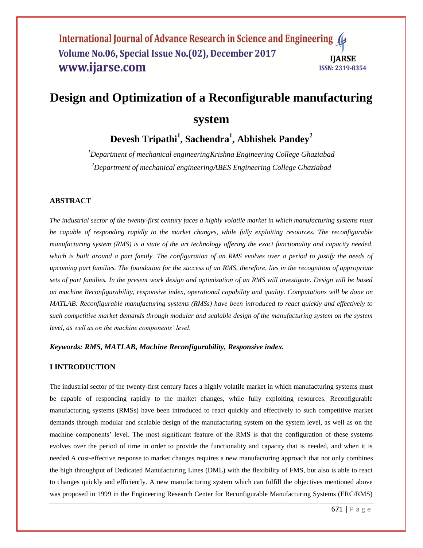## International Journal of Advance Research in Science and Engineering ( Volume No.06, Special Issue No.(02), December 2017 **IIARSE** www.ijarse.com **ISSN: 2319-8354**

# **Design and Optimization of a Reconfigurable manufacturing**

# **system**

# **Devesh Tripathi<sup>1</sup> , Sachendra<sup>1</sup> , Abhishek Pandey<sup>2</sup>**

*<sup>1</sup>Department of mechanical engineeringKrishna Engineering College Ghaziabad <sup>2</sup>Department of mechanical engineeringABES Engineering College Ghaziabad*

### **ABSTRACT**

*The industrial sector of the twenty-first century faces a highly volatile market in which manufacturing systems must be capable of responding rapidly to the market changes, while fully exploiting resources. The reconfigurable manufacturing system (RMS) is a state of the art technology offering the exact functionality and capacity needed,* which is built around a part family. The configuration of an RMS evolves over a period to justify the needs of *upcoming part families. The foundation for the success of an RMS, therefore, lies in the recognition of appropriate sets of part families. In the present work design and optimization of an RMS will investigate. Design will be based on machine Reconfigurability, responsive index, operational capability and quality. Computations will be done on MATLAB. Reconfigurable manufacturing systems (RMSs) have been introduced to react quickly and effectively to such competitive market demands through modular and scalable design of the manufacturing system on the system level, as well as on the machine components' level.*

## *Keywords: RMS, MATLAB, Machine Reconfigurability, Responsive index.*

## **I INTRODUCTION**

The industrial sector of the twenty-first century faces a highly volatile market in which manufacturing systems must be capable of responding rapidly to the market changes, while fully exploiting resources. Reconfigurable manufacturing systems (RMSs) have been introduced to react quickly and effectively to such competitive market demands through modular and scalable design of the manufacturing system on the system level, as well as on the machine components' level. The most significant feature of the RMS is that the configuration of these systems evolves over the period of time in order to provide the functionality and capacity that is needed, and when it is needed.A cost-effective response to market changes requires a new manufacturing approach that not only combines the high throughput of Dedicated Manufacturing Lines (DML) with the flexibility of FMS, but also is able to react to changes quickly and efficiently. A new manufacturing system which can fulfill the objectives mentioned above was proposed in 1999 in the Engineering Research Center for Reconfigurable Manufacturing Systems (ERC/RMS)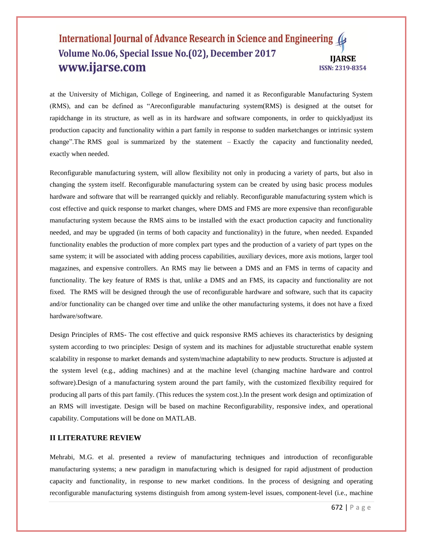### International Journal of Advance Research in Science and Engineering Volume No.06, Special Issue No.(02), December 2017 **IIARSE** www.ijarse.com **ISSN: 2319-8354**

at the University of Michigan, College of Engineering, and named it as Reconfigurable Manufacturing System (RMS), and can be defined as "Areconfigurable manufacturing system(RMS) is designed at the outset for rapidchange in its structure, as well as in its hardware and software components, in order to quicklyadjust its production capacity and functionality within a part family in response to sudden marketchanges or intrinsic system change". The RMS goal is summarized by the statement  $-$  Exactly the capacity and functionality needed, exactly when needed.

Reconfigurable manufacturing system, will allow flexibility not only in producing a variety of parts, but also in changing the system itself. Reconfigurable manufacturing system can be created by using basic process modules hardware and software that will be rearranged quickly and reliably. Reconfigurable manufacturing system which is cost effective and quick response to market changes, where DMS and FMS are more expensive than reconfigurable manufacturing system because the RMS aims to be installed with the exact production capacity and functionality needed, and may be upgraded (in terms of both capacity and functionality) in the future, when needed. Expanded functionality enables the production of more complex part types and the production of a variety of part types on the same system; it will be associated with adding process capabilities, auxiliary devices, more axis motions, larger tool magazines, and expensive controllers. An RMS may lie between a DMS and an FMS in terms of capacity and functionality. The key feature of RMS is that, unlike a DMS and an FMS, its capacity and functionality are not fixed. The RMS will be designed through the use of reconfigurable hardware and software, such that its capacity and/or functionality can be changed over time and unlike the other manufacturing systems, it does not have a fixed hardware/software.

Design Principles of RMS- The cost effective and quick responsive RMS achieves its characteristics by designing system according to two principles: Design of system and its machines for adjustable structurethat enable system scalability in response to market demands and system/machine adaptability to new products. Structure is adjusted at the system level (e.g., adding machines) and at the machine level (changing machine hardware and control software).Design of a manufacturing system around the part family, with the customized flexibility required for producing all parts of this part family. (This reduces the system cost.).In the present work design and optimization of an RMS will investigate. Design will be based on machine Reconfigurability, responsive index, and operational capability. Computations will be done on MATLAB.

### **II LITERATURE REVIEW**

Mehrabi, M.G. et al. presented a review of manufacturing techniques and introduction of reconfigurable manufacturing systems; a new paradigm in manufacturing which is designed for rapid adjustment of production capacity and functionality, in response to new market conditions. In the process of designing and operating reconfigurable manufacturing systems distinguish from among system-level issues, component-level (i.e., machine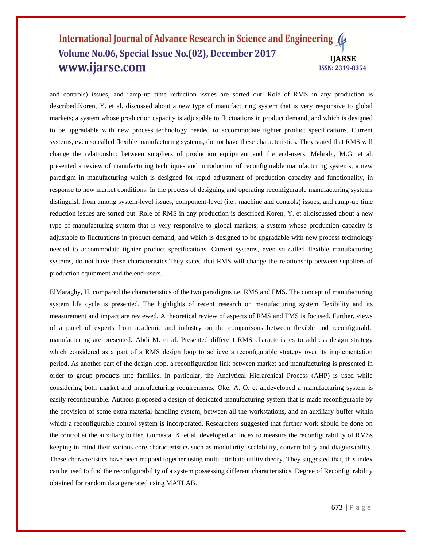### International Journal of Advance Research in Science and Engineering Volume No.06, Special Issue No.(02), December 2017 **IIARSE** www.ijarse.com **ISSN: 2319-8354**

and controls) issues, and ramp-up time reduction issues are sorted out. Role of RMS in any production is described.Koren, Y. et al. discussed about a new type of manufacturing system that is very responsive to global markets; a system whose production capacity is adjustable to fluctuations in product demand, and which is designed to be upgradable with new process technology needed to accommodate tighter product specifications. Current systems, even so called flexible manufacturing systems, do not have these characteristics. They stated that RMS will change the relationship between suppliers of production equipment and the end-users. Mehrabi, M.G. et al. presented a review of manufacturing techniques and introduction of reconfigurable manufacturing systems; a new paradigm in manufacturing which is designed for rapid adjustment of production capacity and functionality, in response to new market conditions. In the process of designing and operating reconfigurable manufacturing systems distinguish from among system-level issues, component-level (i.e., machine and controls) issues, and ramp-up time reduction issues are sorted out. Role of RMS in any production is described.Koren, Y. et al.discussed about a new type of manufacturing system that is very responsive to global markets; a system whose production capacity is adjustable to fluctuations in product demand, and which is designed to be upgradable with new process technology needed to accommodate tighter product specifications. Current systems, even so called flexible manufacturing systems, do not have these characteristics.They stated that RMS will change the relationship between suppliers of production equipment and the end-users.

ElMaraghy, H. compared the characteristics of the two paradigms i.e. RMS and FMS. The concept of manufacturing system life cycle is presented. The highlights of recent research on manufacturing system flexibility and its measurement and impact are reviewed. A theoretical review of aspects of RMS and FMS is focused. Further, views of a panel of experts from academic and industry on the comparisons between flexible and reconfigurable manufacturing are presented. Abdi M. et al. Presented different RMS characteristics to address design strategy which considered as a part of a RMS design loop to achieve a reconfigurable strategy over its implementation period. As another part of the design loop, a reconfiguration link between market and manufacturing is presented in order to group products into families. In particular, the Analytical Hierarchical Process (AHP) is used while considering both market and manufacturing requirements. Oke, A. O. et al.developed a manufacturing system is easily reconfigurable. Authors proposed a design of dedicated manufacturing system that is made reconfigurable by the provision of some extra material-handling system, between all the workstations, and an auxiliary buffer within which a reconfigurable control system is incorporated. Researchers suggested that further work should be done on the control at the auxiliary buffer. Gumasta, K. et al. developed an index to measure the reconfigurability of RMSs keeping in mind their various core characteristics such as modularity, scalability, convertibility and diagnosability. These characteristics have been mapped together using multi-attribute utility theory. They suggested that, this index can be used to find the reconfigurability of a system possessing different characteristics. Degree of Reconfigurability obtained for random data generated using MATLAB.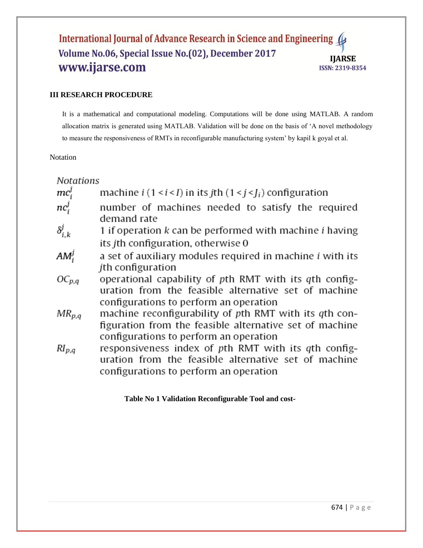# International Journal of Advance Research in Science and Engineering ( Volume No.06, Special Issue No.(02), December 2017 **IJARSE** www.ijarse.com **ISSN: 2319-8354**

# **III RESEARCH PROCEDURE**

It is a mathematical and computational modeling. Computations will be done using MATLAB. A random allocation matrix is generated using MATLAB. Validation will be done on the basis of 'A novel methodology to measure the responsiveness of RMTs in reconfigurable manufacturing system' by kapil k goyal et al.

# Notation

**Notations** 

| $mc_i^j$         | machine $i$ (1 < $i$ < I) in its jth (1 < $j$ < $J_i$ ) configuration                                                                                       |
|------------------|-------------------------------------------------------------------------------------------------------------------------------------------------------------|
| $nc_i^j$         | number of machines needed to satisfy the required<br>demand rate                                                                                            |
| $\delta_{i,k}^j$ | 1 if operation k can be performed with machine <i>i</i> having                                                                                              |
|                  | its jth configuration, otherwise 0                                                                                                                          |
| $AM^j_i$         | a set of auxiliary modules required in machine i with its<br><i>i</i> th configuration                                                                      |
| $OC_{p,q}$       | operational capability of pth RMT with its qth config-<br>uration from the feasible alternative set of machine<br>configurations to perform an operation    |
| $MR_{p,q}$       | machine reconfigurability of pth RMT with its qth con-<br>figuration from the feasible alternative set of machine<br>configurations to perform an operation |
| $RI_{p,q}$       | responsiveness index of pth RMT with its qth config-<br>uration from the feasible alternative set of machine<br>configurations to perform an operation      |

**Table No 1 Validation Reconfigurable Tool and cost-**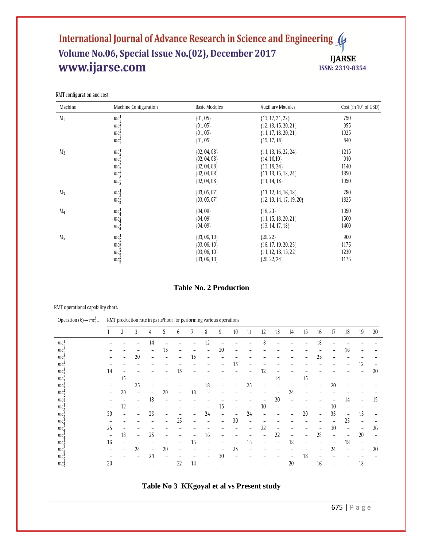# International Journal of Advance Research in Science and Engineering Volume No.06, Special Issue No.(02), December 2017 www.ijarse.com

**IJARSE** ISSN: 2319-8354

| RMT configuration and cost. |  |
|-----------------------------|--|
|                             |  |

| Machine        | Machine Configuration        | Basic Modules    | Auxiliary Modules            | Cost (in $10^3$ of USD) |
|----------------|------------------------------|------------------|------------------------------|-------------------------|
| $M_1$          | mc <sub>1</sub> <sup>1</sup> | $\{01, 05\}$     | ${13, 17, 21, 22}$           | 750                     |
|                | $mc_1^2$                     | $\{01, 05\}$     | ${12, 13, 15, 20, 21}$       | 955                     |
|                | mc <sub>1</sub> <sup>3</sup> | $\{01, 05\}$     | $\{11, 17, 18, 20, 21\}$     | 1025                    |
|                | $mc_1^4$                     | $\{01, 05\}$     | $\{15, 17, 18\}$             | 840                     |
| M <sub>2</sub> | $mc_2^1$                     | $\{02, 04, 08\}$ | $\{11, 13, 16, 22, 24\}$     | 1215                    |
|                | $mc_2^2$                     | $\{02, 04, 08\}$ | ${14, 16, 19}$               | 910                     |
|                | $mc_2^3$                     | $\{02, 04, 08\}$ | ${13, 19, 24}$               | 1140                    |
|                | $mc_2^4$                     | $\{02, 04, 08\}$ | $\{11, 13, 15, 18, 24\}$     | 1350                    |
|                | $mc_2^5$                     | $\{02, 04, 08\}$ | $\{11, 14, 18\}$             | 1050                    |
| $M_3$          |                              | $\{03, 05, 07\}$ | $\{11, 12, 14, 16, 18\}$     | 780                     |
|                | $mc_3^1$<br>$mc_3^2$         | $\{03, 05, 07\}$ | $\{12, 13, 14, 17, 19, 20\}$ | 1825                    |
| M4             | $mc_4^1$                     | ${04, 09}$       | ${18, 23}$                   | 1350                    |
|                | mc <sub>4</sub> <sup>2</sup> | ${04, 09}$       | $\{11, 15, 18, 20, 21\}$     | 1500                    |
|                | mc <sub>4</sub> <sup>3</sup> | $\{04, 09\}$     | $\{13, 14, 17, 18\}$         | 1400                    |
| $M_5$          | $mc_5^1$                     | ${03, 06, 10}$   | ${20, 22}$                   | 900                     |
|                | $mc_5^2$                     | $\{03, 06, 10\}$ | ${16, 17, 19, 20, 25}$       | 1175                    |
|                | $mc_5^3$                     | $\{03, 06, 10\}$ | $\{11, 12, 13, 15, 22\}$     | 1230                    |
|                | $mc_5^4$                     | $\{03, 06, 10\}$ | $\{20, 22, 24\}$             | 1175                    |

## **Table No. 2 Production**

#### RMT operational capability chart.

| Operation $(k) \rightarrow mc_i^j \downarrow$ |                          | RMT production rate in parts/hour for performing various operations |                          |                          |                |                          |    |                |                          |    |                          |                 |    |                          |    |    |    |                          |    |    |
|-----------------------------------------------|--------------------------|---------------------------------------------------------------------|--------------------------|--------------------------|----------------|--------------------------|----|----------------|--------------------------|----|--------------------------|-----------------|----|--------------------------|----|----|----|--------------------------|----|----|
|                                               |                          |                                                                     | 3                        | 4                        | 5              | 6                        |    | 8              | 9                        | 10 | 11                       | 12              | 13 | 14                       | 15 | 16 | 17 | 18                       | 19 | 20 |
| $mc_1^1$                                      |                          |                                                                     |                          | 14                       |                |                          |    | 12             |                          |    |                          | 8               |    |                          |    | 18 |    |                          |    |    |
| mc <sub>1</sub>                               |                          |                                                                     |                          |                          | 15             |                          |    |                | 20                       |    |                          |                 |    |                          |    |    |    | 16                       |    |    |
| $mc_1^3$                                      |                          |                                                                     | 20                       |                          |                |                          | 15 | $\overline{a}$ |                          |    |                          |                 |    |                          |    | 25 |    |                          |    |    |
| $mc_1^4$                                      |                          |                                                                     |                          |                          |                |                          |    |                |                          | 15 | ۰                        |                 |    |                          |    |    |    |                          | 12 |    |
| $mc_2^1$                                      | 14                       |                                                                     |                          |                          |                | 15                       |    |                |                          |    |                          | 12              |    |                          |    |    |    |                          |    | 20 |
| mc <sub>2</sub>                               |                          | 15                                                                  |                          |                          |                |                          |    |                |                          |    |                          |                 | 14 |                          | 15 |    |    |                          |    |    |
| mc3                                           |                          |                                                                     | 25                       |                          |                |                          |    | 18             |                          |    | 25                       |                 |    |                          |    |    | 20 |                          |    |    |
| $mc_2^4$                                      |                          | 20                                                                  |                          |                          | 20             | $\overline{\phantom{a}}$ | 18 |                |                          |    |                          |                 |    | 24                       |    |    |    |                          |    |    |
| $mc_2^2$                                      |                          |                                                                     |                          | 18                       |                |                          |    |                |                          |    |                          |                 | 20 |                          |    |    |    | 14                       |    | 15 |
| $mc_2^1$                                      |                          | 12                                                                  |                          |                          |                |                          |    |                | 15                       |    |                          | 10              |    |                          |    |    | 10 |                          |    |    |
| $mc_2^2$                                      | 30                       | $\overline{\phantom{a}}$                                            | $\overline{\phantom{0}}$ | 26                       | -              |                          |    | 24             | $\overline{\phantom{0}}$ |    | 24                       | $\qquad \qquad$ |    |                          | 20 |    | 35 | $\overline{a}$           | 15 |    |
| mc.                                           |                          |                                                                     |                          |                          |                | 25                       |    |                |                          | 30 | -                        |                 |    |                          |    |    |    | 25                       |    |    |
| $mc_4^2$                                      | 25                       |                                                                     |                          |                          |                |                          |    |                |                          |    |                          | 22              |    |                          |    |    | 30 |                          |    | 26 |
| mc <sub>4</sub> <sup>3</sup>                  | $\overline{\phantom{a}}$ | 18                                                                  | $\overline{\phantom{a}}$ | 25                       | $\overline{a}$ |                          |    | 16             | -                        |    | $\overline{\phantom{a}}$ |                 | 22 | $\overline{\phantom{a}}$ |    | 28 |    | $\overline{\phantom{a}}$ | 20 | -  |
| $mc_{5}^{1}$                                  | 16                       |                                                                     |                          |                          |                |                          | 15 | -              |                          |    | 15                       |                 |    | 18                       |    |    |    | 18                       |    |    |
| $mc_{\varepsilon}^2$                          |                          |                                                                     | 24                       | $\overline{\phantom{a}}$ | 20             | $\overline{\phantom{a}}$ |    |                |                          | 25 | ۰                        |                 |    |                          |    |    | 24 |                          |    | 20 |
| $mc_e^3$                                      |                          |                                                                     | $\overline{\phantom{0}}$ | 24                       | -              |                          |    |                | 30                       |    |                          |                 |    |                          | 18 | -  |    |                          |    |    |
| $mc_5^4$                                      | 20                       |                                                                     |                          |                          |                | 22                       | 14 |                |                          |    |                          |                 |    | 20                       |    | 16 |    |                          | 18 |    |

**Table No 3 KKgoyal et al vs Present study**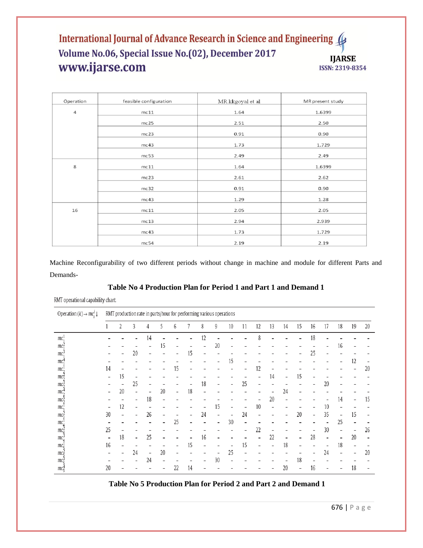# International Journal of Advance Research in Science and Engineering Volume No.06, Special Issue No.(02), December 2017 **IJARSE** www.ijarse.com ISSN: 2319-8354

| Operation | feasible configuration | MR kkgoyal et al | MR present study |
|-----------|------------------------|------------------|------------------|
| 4         | mc11                   | 1.64             | 1.6399           |
|           | mc25                   | 2.51             | 2.50             |
|           | mc23                   | 0.91             | 0.90             |
|           | mc43                   | 1.73             | 1.729            |
|           | mc53                   | 2.49             | 2.49             |
| 8         | mc11                   | 1.64             | 1.6399           |
|           | mc23                   | 2.61             | 2.62             |
|           | mc32                   | 0.91             | 0.90             |
|           | mc43                   | 1.29             | 1.28             |
| 16        | mc11                   | 2.05             | 2.05             |
|           | mc13                   | 2.94             | 2.939            |
|           | mc43                   | 1.73             | 1.729            |
|           | mc54                   | 2.19             | 2.19             |

Machine Reconfigurability of two different periods without change in machine and module for different Parts and Demands-

# **Table No 4 Production Plan for Period 1 and Part 1 and Demand 1**

RMT operational capability chart.

| Operation $(k) \rightarrow mc_i^j \downarrow$ |                 | RMT production rate in parts/hour for performing various operations |                          |                          |    |                          |    |    |                |    |    |    |    |    |    |    |                          |                          |    |                          |
|-----------------------------------------------|-----------------|---------------------------------------------------------------------|--------------------------|--------------------------|----|--------------------------|----|----|----------------|----|----|----|----|----|----|----|--------------------------|--------------------------|----|--------------------------|
|                                               |                 | 2                                                                   | 3                        | 4                        | 5  | 6                        |    | 8  | 9              | 10 | 11 | 12 | 13 | 14 | 15 | 16 | 17                       | 18                       | 19 | 20                       |
| $mc_1^1$                                      |                 |                                                                     |                          | 14                       |    |                          |    | 12 |                |    |    | 8  |    |    |    | 18 |                          |                          |    |                          |
| $mc_1^2$                                      |                 |                                                                     |                          |                          | 15 | -                        |    | -  | 20             |    |    |    |    |    |    |    | $\overline{\phantom{0}}$ | 16                       | -  |                          |
| $mc_1^3$                                      |                 |                                                                     | 20                       |                          |    |                          | 15 |    |                |    |    |    |    |    |    | 25 |                          |                          |    |                          |
| $mc_1^4$                                      |                 |                                                                     |                          |                          |    |                          |    |    |                | 15 |    |    |    |    |    |    |                          |                          | 12 |                          |
| $mc_2^1$                                      | 14              |                                                                     |                          |                          |    | 15                       |    |    |                |    | -  | 12 |    |    |    |    |                          |                          |    | 20                       |
| mc <sub>2</sub>                               | $\overline{a}$  | 15                                                                  |                          |                          |    |                          |    |    |                |    |    |    | 14 | -  | 15 | -  |                          |                          |    |                          |
| $mc_2^3$                                      |                 |                                                                     | 25                       |                          |    |                          |    | 18 |                |    | 25 |    |    |    |    |    | 20                       |                          |    |                          |
| $mc_2^4$                                      |                 | 20                                                                  |                          |                          | 20 | $\overline{\phantom{a}}$ | 18 |    |                |    |    |    |    | 24 |    |    |                          |                          |    |                          |
| $mc_2^2$                                      |                 |                                                                     | $\overline{\phantom{a}}$ | 18                       |    |                          |    |    |                |    |    |    | 20 |    |    |    |                          | 14                       | -  | 15                       |
| $mc_2^1$                                      | $\overline{a}$  | 12                                                                  | $\overline{\phantom{a}}$ |                          |    |                          |    |    | 15             | -  | -  | 10 |    |    |    | -  | 10                       |                          |    |                          |
| $mc_2^2$                                      | 30              |                                                                     |                          | 26                       |    |                          |    | 24 | $\overline{a}$ |    | 24 |    |    |    | 20 | -  | 35                       | $\overline{\phantom{0}}$ | 15 |                          |
| mc <sub>4</sub>                               |                 |                                                                     |                          |                          |    | 25                       |    |    |                | 30 | -  |    |    |    |    |    |                          | 25                       |    |                          |
| mc <sub>A</sub> <sup>2</sup>                  | 25              |                                                                     |                          |                          |    |                          |    |    |                |    | -  | 22 |    |    |    |    | 30                       |                          | -  | 26                       |
| mc <sub>a</sub> <sup>3</sup>                  | $\qquad \qquad$ | 18                                                                  | $\overline{\phantom{a}}$ | 25                       |    |                          |    | 16 |                |    | -  |    | 22 | -  |    | 28 | $\overline{a}$           | $\overline{\phantom{a}}$ | 20 | $\overline{\phantom{0}}$ |
| $mc_{\rm g}^{\rm I}$                          | 16              |                                                                     |                          |                          |    |                          | 15 |    |                |    | 15 |    |    | 18 |    |    | $\overline{\phantom{0}}$ | 18                       | -  |                          |
| $mc_{5}^{2}$                                  |                 |                                                                     | 24                       | $\overline{\phantom{0}}$ | 20 |                          |    |    |                | 25 |    |    |    |    |    |    | 24                       |                          |    | 20                       |
| $mc_{\rm g}^3$                                |                 |                                                                     | $\overline{\phantom{0}}$ | 24                       |    |                          |    | -  | 30             |    |    |    |    |    | 18 |    |                          |                          |    |                          |
| $mc_5^4$                                      | 20              |                                                                     |                          |                          |    | 22                       | 14 |    |                |    |    |    |    | 20 | -  | 16 |                          |                          | 18 |                          |

# **Table No 5 Production Plan for Period 2 and Part 2 and Demand 1**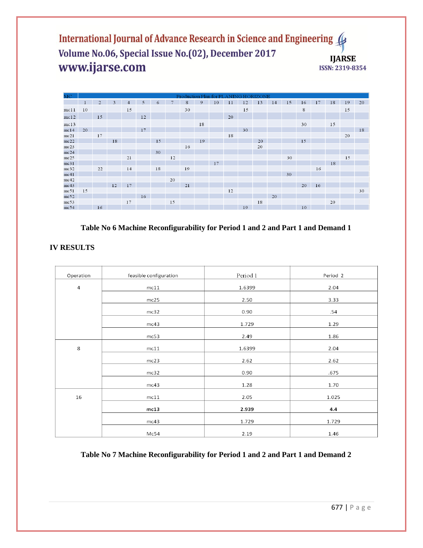International Journal of Advance Research in Science and Engineering Volume No.06, Special Issue No.(02), December 2017 **IJARSE** www.ijarse.com ISSN: 2319-8354

| MC   | Production Plan for PLANING HORE<br>ZONE |                |    |                |    |    |    |    |    |    |    |    |    |    |    |    |    |    |    |    |
|------|------------------------------------------|----------------|----|----------------|----|----|----|----|----|----|----|----|----|----|----|----|----|----|----|----|
|      |                                          | $\overline{2}$ | 3  | $\overline{4}$ | 5  | 6  |    | 8  | 9  | 10 |    | 12 | 13 | 14 | 15 | 16 | 17 | 18 | 19 | 20 |
| mc11 | 10                                       |                |    | 15             |    |    |    | 30 |    |    |    | 15 |    |    |    | 8  |    |    | 15 |    |
| mc12 |                                          | 15             |    |                | 12 |    |    |    |    |    | 20 |    |    |    |    |    |    |    |    |    |
| mc13 |                                          |                |    |                |    |    |    |    | 18 |    |    |    |    |    |    | 30 |    | 15 |    |    |
| mc14 | 20                                       |                |    |                | 17 |    |    |    |    |    |    | 30 |    |    |    |    |    |    |    | 18 |
| mc21 |                                          | 17             |    |                |    |    |    |    |    |    | 18 |    |    |    |    |    |    |    | 20 |    |
| mc22 |                                          |                | 18 |                |    | 15 |    |    | 19 |    |    |    | 20 |    |    | 15 |    |    |    |    |
| mc23 |                                          |                |    |                |    |    |    | 16 |    |    |    |    | 20 |    |    |    |    |    |    |    |
| mc24 |                                          |                |    |                |    | 30 |    |    |    |    |    |    |    |    |    |    |    |    |    |    |
| mc25 |                                          |                |    | 21             |    |    | 12 |    |    |    |    |    |    |    | 30 |    |    |    | 15 |    |
| mc31 |                                          |                |    |                |    |    |    |    |    | 17 |    |    |    |    |    |    |    | 18 |    |    |
| mc32 |                                          | 22             |    | 14             |    | 18 |    | 19 |    |    |    |    |    |    |    |    | 16 |    |    |    |
| mc41 |                                          |                |    |                |    |    |    |    |    |    |    |    |    |    | 30 |    |    |    |    |    |
| mc42 |                                          |                |    |                |    |    | 20 |    |    |    |    |    |    |    |    |    |    |    |    |    |
| mc43 |                                          |                | 12 | 17             |    |    |    | 21 |    |    |    |    |    |    |    | 20 | 16 |    |    |    |
| mc51 | 15                                       |                |    |                |    |    |    |    |    |    | 12 |    |    |    |    |    |    |    |    | 30 |
| mc52 |                                          |                |    |                | 16 |    |    |    |    |    |    |    |    | 20 |    |    |    |    |    |    |
| mc53 |                                          |                |    | 17             |    |    | 15 |    |    |    |    |    | 18 |    |    |    |    | 20 |    |    |
| mc54 |                                          | 16             |    |                |    |    |    |    |    |    |    | 19 |    |    |    | 10 |    |    |    |    |

**Table No 6 Machine Reconfigurability for Period 1 and 2 and Part 1 and Demand 1**

| Operation      | feasible configuration | Period 1 | Period 2 |
|----------------|------------------------|----------|----------|
| $\overline{4}$ | mc11                   | 1.6399   | 2.04     |
|                | mc25                   | 2.50     | 3.33     |
|                | mc32                   | 0.90     | .54      |
|                | mc43                   | 1.729    | 1.29     |
|                | mc53                   | 2.49     | 1.86     |
| $\,8\,$        | mc11                   | 1.6399   | 2.04     |
|                | mc23                   | 2.62     | 2.62     |
|                | mc32                   | 0.90     | .675     |
|                | mc43                   | 1.28     | 1.70     |
| 16             | mc11                   | 2.05     | 1.025    |
|                | mc13                   | 2.939    | 4.4      |
|                | mc43                   | 1.729    | 1.729    |
|                | Mc54                   | 2.19     | 1.46     |

# **Table No 7 Machine Reconfigurability for Period 1 and 2 and Part 1 and Demand 2**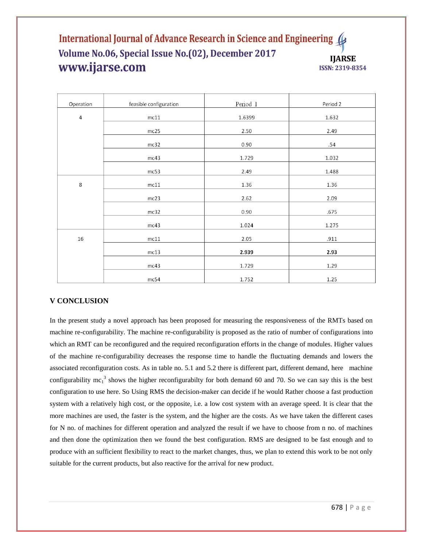# International Journal of Advance Research in Science and Engineering Volume No.06, Special Issue No.(02), December 2017 **IIARSE** www.ijarse.com **ISSN: 2319-8354**

| Operation      | feasible configuration | Period 1 | Period 2 |
|----------------|------------------------|----------|----------|
| $\overline{4}$ | mc11                   | 1.6399   | 1.632    |
|                | mc25                   | 2.50     | 2.49     |
|                | mc32                   | 0.90     | .54      |
|                | mc43                   | 1.729    | 1.032    |
|                | mc53                   | 2.49     | 1.488    |
| 8              | mc11                   | 1.36     | 1.36     |
|                | mc23                   | 2.62     | 2.09     |
|                | mc32                   | 0.90     | .675     |
|                | mc43                   | 1.024    | 1.275    |
| $16\,$         | $mc11$                 | 2.05     | .911     |
|                | mc13                   | 2.939    | 2.93     |
|                | mc43                   | 1.729    | 1.29     |
|                | mc54                   | 1.752    | 1.25     |

# **V CONCLUSION**

In the present study a novel approach has been proposed for measuring the responsiveness of the RMTs based on machine re-configurability. The machine re-configurability is proposed as the ratio of number of configurations into which an RMT can be reconfigured and the required reconfiguration efforts in the change of modules. Higher values of the machine re-configurability decreases the response time to handle the fluctuating demands and lowers the associated reconfiguration costs. As in table no. 5.1 and 5.2 there is different part, different demand, here machine configurability mc<sub>1</sub><sup>3</sup> shows the higher reconfigurabilty for both demand 60 and 70. So we can say this is the best configuration to use here. So Using RMS the decision-maker can decide if he would Rather choose a fast production system with a relatively high cost, or the opposite, i.e. a low cost system with an average speed. It is clear that the more machines are used, the faster is the system, and the higher are the costs. As we have taken the different cases for N no. of machines for different operation and analyzed the result if we have to choose from n no. of machines and then done the optimization then we found the best configuration. RMS are designed to be fast enough and to produce with an sufficient flexibility to react to the market changes, thus, we plan to extend this work to be not only suitable for the current products, but also reactive for the arrival for new product.